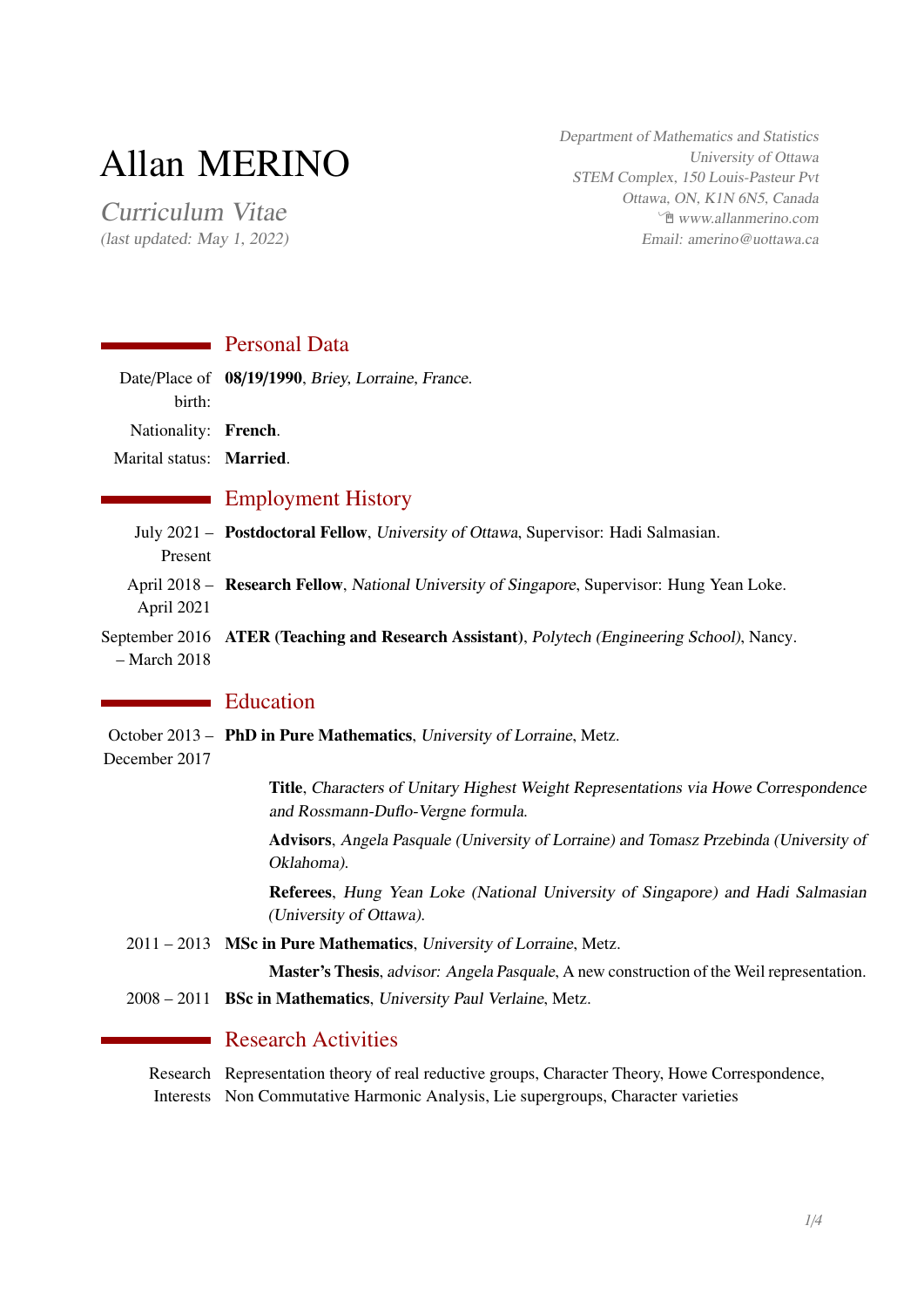# Allan MERINO

Curriculum Vitae (last updated: May 1, 2022) Department of Mathematics and Statistics University of Ottawa STEM Complex, 150 Louis-Pasteur Pvt Ottawa, ON, K1N 6N5, Canada Í [www.allanmerino.com](https://www.allanmerino.com) Email: amerino@uottawa.ca

## **Personal Data**

|                         | Date/Place of 08/19/1990, Briey, Lorraine, France. |
|-------------------------|----------------------------------------------------|
| birth:                  |                                                    |
| Nationality: French.    |                                                    |
| Marital status: Married |                                                    |

## **Employment History**

July 2021 - Postdoctoral Fellow, University of Ottawa, Supervisor: Hadi Salmasian. Present April 2018 - Research Fellow, National University of Singapore, Supervisor: Hung Yean Loke. April 2021 September 2016 ATER (Teaching and Research Assistant), Polytech (Engineering School), Nancy. – March 2018

# **Education**

October 2013 - PhD in Pure Mathematics, University of Lorraine, Metz.

December 2017

Title, Characters of Unitary Highest Weight Representations via Howe Correspondence and Rossmann-Duflo-Vergne formula.

Advisors, Angela Pasquale (University of Lorraine) and Tomasz Przebinda (University of Oklahoma).

Referees, Hung Yean Loke (National University of Singapore) and Hadi Salmasian (University of Ottawa).

2011 – 2013 MSc in Pure Mathematics, University of Lorraine, Metz.

Master's Thesis, advisor: Angela Pasquale, A new construction of the Weil representation.

2008 – 2011 BSc in Mathematics, University Paul Verlaine, Metz.

## **Research Activities**

Research Representation theory of real reductive groups, Character Theory, Howe Correspondence, Interests Non Commutative Harmonic Analysis, Lie supergroups, Character varieties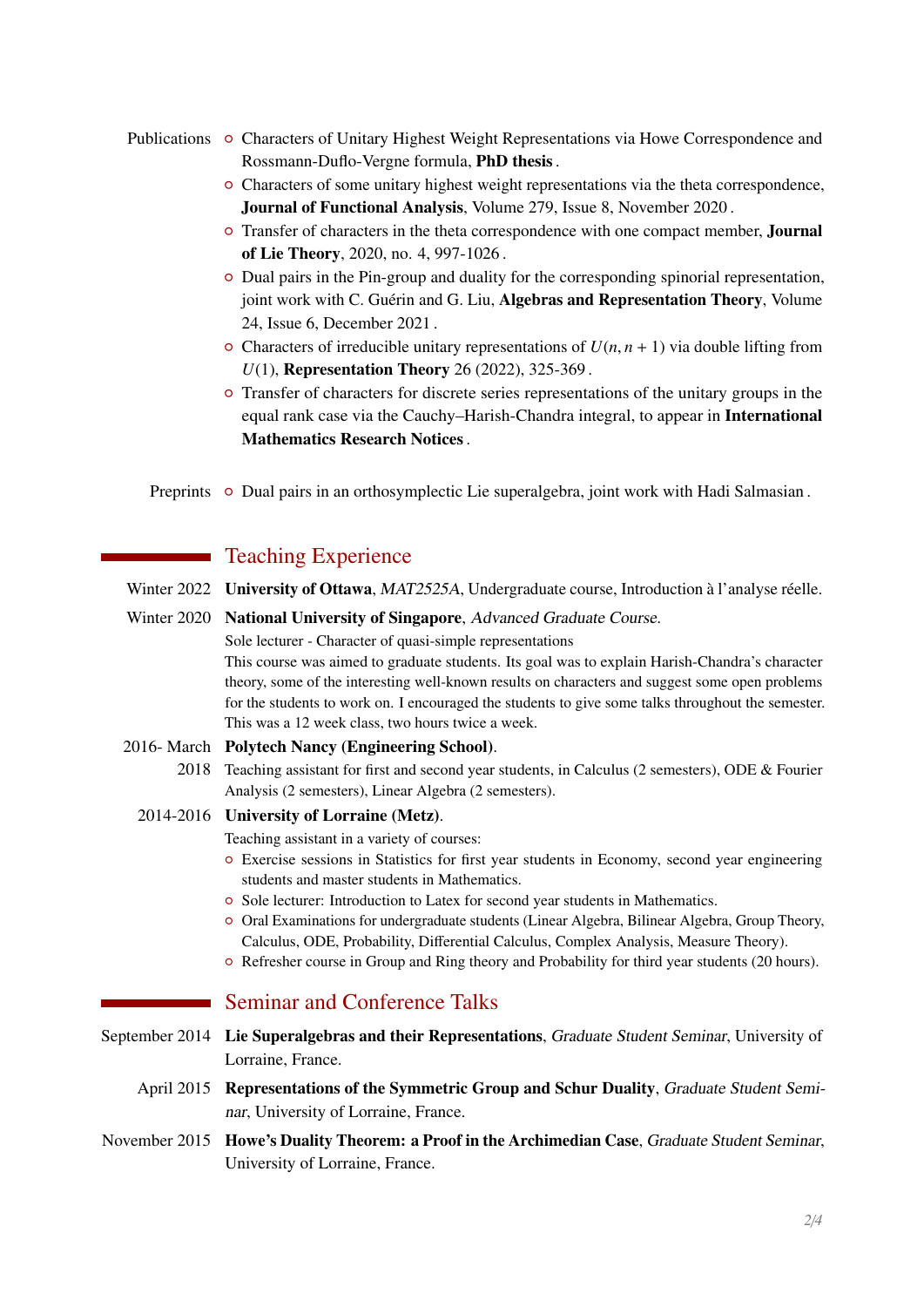## Publications • Characters of Unitary Highest Weight Representations via Howe Correspondence and Rossmann-Duflo-Vergne formula, PhD thesis.

- { Characters of some unitary highest weight representations via the theta correspondence, Journal of Functional Analysis, Volume 279, Issue 8, November 2020 .
- $\circ$  Transfer of characters in the theta correspondence with one compact member, **Journal** of Lie Theory, 2020, no. 4, 997-1026 .
- { Dual pairs in the Pin-group and duality for the corresponding spinorial representation, joint work with C. Guérin and G. Liu, Algebras and Representation Theory, Volume 24, Issue 6, December 2021 .
- $\circ$  Characters of irreducible unitary representations of  $U(n, n + 1)$  via double lifting from *U*(1), **Representation Theory** 26 (2022), 325-369.
- { Transfer of characters for discrete series representations of the unitary groups in the equal rank case via the Cauchy–Harish-Chandra integral, to appear in International Mathematics Research Notices.

Preprints • Dual pairs in an orthosymplectic Lie superalgebra, joint work with Hadi Salmasian.

# **Teaching Experience**

Winter 2022 University of Ottawa, MAT2525A, Undergraduate course, Introduction à l'analyse réelle.

Winter 2020 National University of Singapore, Advanced Graduate Course.

Sole lecturer - Character of quasi-simple representations

This course was aimed to graduate students. Its goal was to explain Harish-Chandra's character theory, some of the interesting well-known results on characters and suggest some open problems for the students to work on. I encouraged the students to give some talks throughout the semester. This was a 12 week class, two hours twice a week.

#### 2016- March Polytech Nancy (Engineering School).

- 2018 Teaching assistant for first and second year students, in Calculus (2 semesters), ODE & Fourier Analysis (2 semesters), Linear Algebra (2 semesters).
- 2014-2016 University of Lorraine (Metz).
	- Teaching assistant in a variety of courses:
	- { Exercise sessions in Statistics for first year students in Economy, second year engineering students and master students in Mathematics.
	- { Sole lecturer: Introduction to Latex for second year students in Mathematics.
	- { Oral Examinations for undergraduate students (Linear Algebra, Bilinear Algebra, Group Theory, Calculus, ODE, Probability, Differential Calculus, Complex Analysis, Measure Theory).
	- { Refresher course in Group and Ring theory and Probability for third year students (20 hours).

## **Seminar and Conference Talks**

- September 2014 Lie Superalgebras and their Representations, Graduate Student Seminar, University of Lorraine, France.
	- April 2015 Representations of the Symmetric Group and Schur Duality, Graduate Student Seminar, University of Lorraine, France.
- November 2015 Howe's Duality Theorem: a Proof in the Archimedian Case, Graduate Student Seminar, University of Lorraine, France.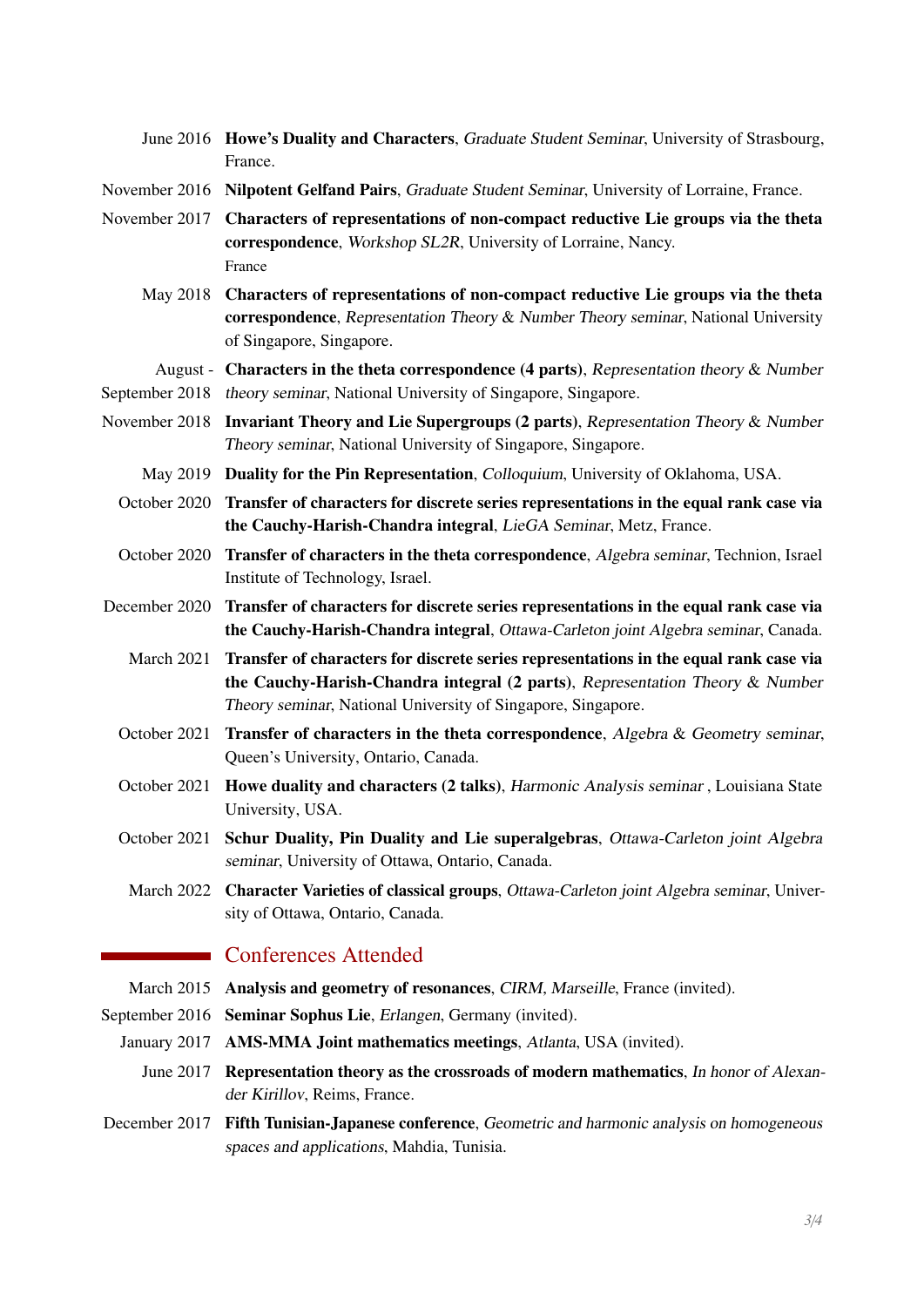- June 2016 Howe's Duality and Characters, Graduate Student Seminar, University of Strasbourg, France.
- November 2016 Nilpotent Gelfand Pairs, Graduate Student Seminar, University of Lorraine, France.
- November 2017 Characters of representations of non-compact reductive Lie groups via the theta correspondence, Workshop SL2R, University of Lorraine, Nancy. France
	- May 2018 Characters of representations of non-compact reductive Lie groups via the theta correspondence, Representation Theory & Number Theory seminar, National University of Singapore, Singapore.

August - Characters in the theta correspondence (4 parts), Representation theory & Number

- September 2018 theory seminar, National University of Singapore, Singapore.
- November 2018 Invariant Theory and Lie Supergroups (2 parts), Representation Theory & Number Theory seminar, National University of Singapore, Singapore.
	- May 2019 Duality for the Pin Representation, Colloquium, University of Oklahoma, USA.
	- October 2020 Transfer of characters for discrete series representations in the equal rank case via the Cauchy-Harish-Chandra integral, LieGA Seminar, Metz, France.
	- October 2020 Transfer of characters in the theta correspondence, Algebra seminar, Technion, Israel Institute of Technology, Israel.
- December 2020 Transfer of characters for discrete series representations in the equal rank case via the Cauchy-Harish-Chandra integral, Ottawa-Carleton joint Algebra seminar, Canada.
	- March 2021 Transfer of characters for discrete series representations in the equal rank case via the Cauchy-Harish-Chandra integral (2 parts), Representation Theory & Number Theory seminar, National University of Singapore, Singapore.
	- October 2021 Transfer of characters in the theta correspondence, Algebra & Geometry seminar, Queen's University, Ontario, Canada.
	- October 2021 Howe duality and characters (2 talks), Harmonic Analysis seminar , Louisiana State University, USA.
	- October 2021 Schur Duality, Pin Duality and Lie superalgebras, Ottawa-Carleton joint Algebra seminar, University of Ottawa, Ontario, Canada.
		- March 2022 Character Varieties of classical groups, Ottawa-Carleton joint Algebra seminar, University of Ottawa, Ontario, Canada.

## **Conferences Attended**

- March 2015 Analysis and geometry of resonances, CIRM, Marseille, France (invited).
- September 2016 Seminar Sophus Lie, Erlangen, Germany (invited).
	- January 2017 AMS-MMA Joint mathematics meetings, Atlanta, USA (invited).
		- June 2017 Representation theory as the crossroads of modern mathematics, In honor of Alexander Kirillov, Reims, France.
- December 2017 Fifth Tunisian-Japanese conference, Geometric and harmonic analysis on homogeneous spaces and applications, Mahdia, Tunisia.